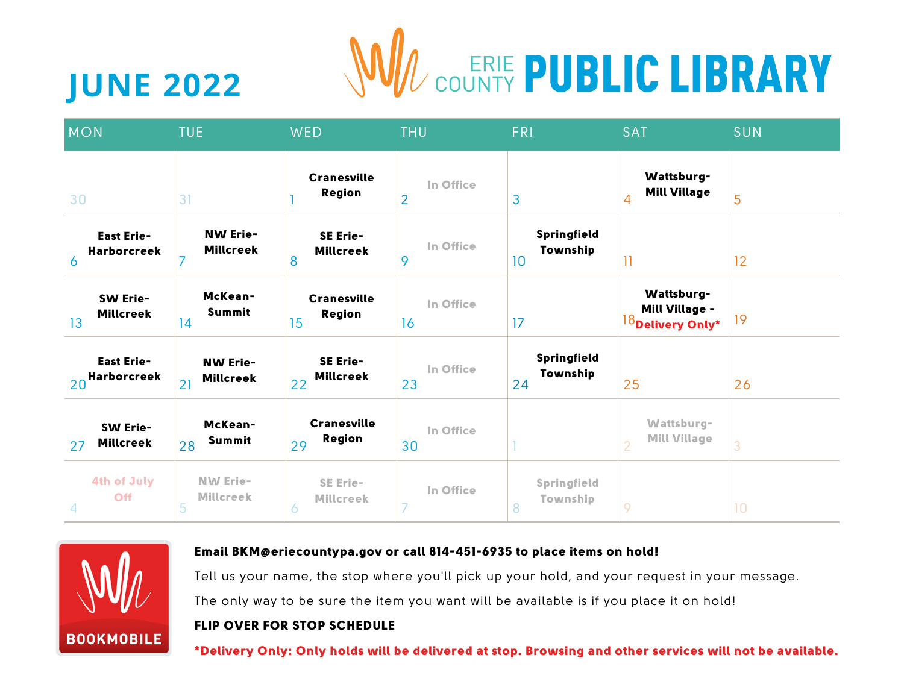

# **JUNE 2022**

| <b>MON</b>                                   | <b>TUE</b>                                | <b>WED</b>                                | <b>THU</b>                  | <b>FRI</b>                    | <b>SAT</b>                                                       | <b>SUN</b>      |
|----------------------------------------------|-------------------------------------------|-------------------------------------------|-----------------------------|-------------------------------|------------------------------------------------------------------|-----------------|
| 30                                           | 31                                        | <b>Cranesville</b><br><b>Region</b>       | In Office<br>$\overline{2}$ | 3                             | Wattsburg-<br><b>Mill Village</b><br>4                           | 5               |
| <b>East Erie-</b><br><b>Harborcreek</b><br>6 | <b>NW Erie-</b><br><b>Millcreek</b><br>7  | <b>SE Erie-</b><br><b>Millcreek</b><br>8  | In Office<br>9              | Springfield<br>Township<br>10 | $\overline{11}$                                                  | 12              |
| <b>SW Erie-</b><br><b>Millcreek</b><br>13    | McKean-<br><b>Summit</b><br> 4            | <b>Cranesville</b><br>Region<br>15        | In Office<br>16             | 17                            | Wattsburg-<br>Mill Village -<br>$\mathbb{R}^{18}$ Delivery Only* | 19              |
| <b>East Erie-</b><br>20 Harborcreek          | <b>NW Erie-</b><br><b>Millcreek</b><br>21 | SE Erie-<br><b>Millcreek</b><br>22        | In Office<br>23             | Springfield<br>Township<br>24 | 25                                                               | 26              |
| <b>SW Erie-</b><br><b>Millcreek</b><br>27    | McKean-<br>Summit<br>28                   | <b>Cranesville</b><br><b>Region</b><br>29 | In Office<br>30             |                               | Wattsburg-<br><b>Mill Village</b><br>$\overline{2}$              | 3               |
| <b>4th of July</b><br>Off<br>$\overline{4}$  | <b>NW Erie-</b><br><b>Millcreek</b><br>5  | <b>SE Erie-</b><br><b>Millcreek</b><br>6  | In Office<br>7              | Springfield<br>Township<br>8  | 9                                                                | 10 <sup>°</sup> |



#### Email BKM@eriecountypa.gov or call 814-451-6935 to place items on hold!

Tell us your name, the stop where you'll pick up your hold, and your request in your message. The only way to be sure the item you want will be available is if you place it on hold!

#### FLIP OVER FOR STOP SCHEDULE

\*Delivery Only: Only holds will be delivered at stop. Browsing and other services will not be available.